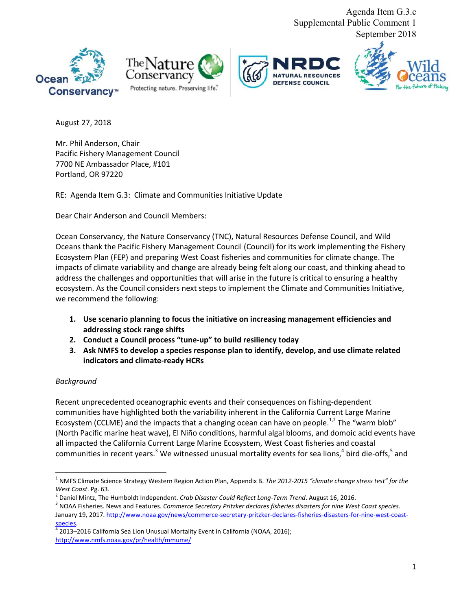Agenda Item G.3.c Supplemental Public Comment 1 September 2018









August 27, 2018

Mr. Phil Anderson, Chair Pacific Fishery Management Council 7700 NE Ambassador Place, #101 Portland, OR 97220

RE: Agenda Item G.3: Climate and Communities Initiative Update

Dear Chair Anderson and Council Members:

Ocean Conservancy, the Nature Conservancy (TNC), Natural Resources Defense Council, and Wild Oceans thank the Pacific Fishery Management Council (Council) for its work implementing the Fishery Ecosystem Plan (FEP) and preparing West Coast fisheries and communities for climate change. The impacts of climate variability and change are already being felt along our coast, and thinking ahead to address the challenges and opportunities that will arise in the future is critical to ensuring a healthy ecosystem. As the Council considers next steps to implement the Climate and Communities Initiative, we recommend the following:

- **1. Use scenario planning to focus the initiative on increasing management efficiencies and addressing stock range shifts**
- **2. Conduct a Council process "tune-up" to build resiliency today**
- **3. Ask NMFS to develop a species response plan to identify, develop, and use climate related indicators and climate-ready HCRs**

# *Background*

Recent unprecedented oceanographic events and their consequences on fishing-dependent communities have highlighted both the variability inherent in the California Current Large Marine Ecosystem (CCLME) and the impacts that a changing ocean can have on people.<sup>1,2</sup> The "warm blob" (North Pacific marine heat wave), El Niño conditions, harmful algal blooms, and domoic acid events have all impacted the California Current Large Marine Ecosystem, West Coast fisheries and coastal communities in recent years.<sup>3</sup> We witnessed unusual mortality events for sea lions,<sup>4</sup> bird die-offs,<sup>5</sup> and

<sup>1</sup> NMFS Climate Science Strategy Western Region Action Plan, Appendix B. *The 2012-2015 "climate change stress test" for the West Coast*. Pg. 63.

<sup>2</sup> Daniel Mintz, The Humboldt Independent. *Crab Disaster Could Reflect Long-Term Trend*. August 16, 2016.

<sup>3</sup> NOAA Fisheries. News and Features. *Commerce Secretary Pritzker declares fisheries disasters for nine West Coast species*. January 19, 2017[. http://www.noaa.gov/news/commerce-secretary-pritzker-declares-fisheries-disasters-for-nine-west-coast-](http://www.noaa.gov/news/commerce-secretary-pritzker-declares-fisheries-disasters-for-nine-west-coast-species)<u>species</u>.<br><sup>4</sup> 2013–2016 California Sea Lion Unusual Mortality Event in California (NOAA, 2016);

[http://www.nmfs.noaa.gov/pr/health/mmume/](http://www.nmfs.noaa.gov/pr/health/mmume/californiasealions2013.htm)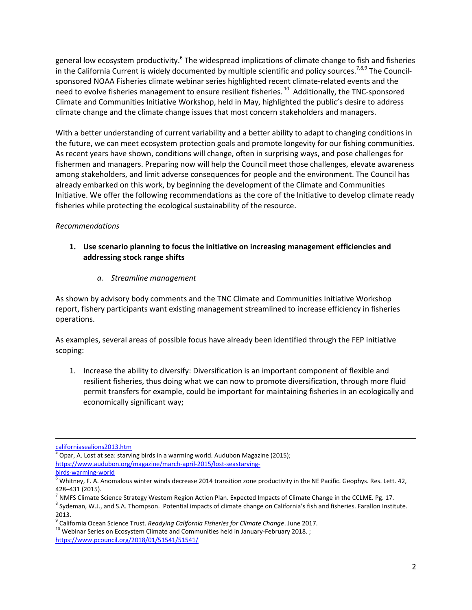general low ecosystem productivity.<sup>6</sup> The widespread implications of climate change to fish and fisheries in the California Current is widely documented by multiple scientific and policy sources.<sup>7,8,9</sup> The Councilsponsored NOAA Fisheries climate webinar series highlighted recent climate-related events and the need to evolve fisheries management to ensure resilient fisheries.<sup>10</sup> Additionally, the TNC-sponsored Climate and Communities Initiative Workshop, held in May, highlighted the public's desire to address climate change and the climate change issues that most concern stakeholders and managers.

With a better understanding of current variability and a better ability to adapt to changing conditions in the future, we can meet ecosystem protection goals and promote longevity for our fishing communities. As recent years have shown, conditions will change, often in surprising ways, and pose challenges for fishermen and managers. Preparing now will help the Council meet those challenges, elevate awareness among stakeholders, and limit adverse consequences for people and the environment. The Council has already embarked on this work, by beginning the development of the Climate and Communities Initiative. We offer the following recommendations as the core of the Initiative to develop climate ready fisheries while protecting the ecological sustainability of the resource.

### *Recommendations*

### **1. Use scenario planning to focus the initiative on increasing management efficiencies and addressing stock range shifts**

*a. Streamline management* 

As shown by advisory body comments and the TNC Climate and Communities Initiative Workshop report, fishery participants want existing management streamlined to increase efficiency in fisheries operations.

As examples, several areas of possible focus have already been identified through the FEP initiative scoping:

1. Increase the ability to diversify: Diversification is an important component of flexible and resilient fisheries, thus doing what we can now to promote diversification, through more fluid permit transfers for example, could be important for maintaining fisheries in an ecologically and economically significant way;

 $\overline{a}$ 

[californiasealions2013.htm](http://www.nmfs.noaa.gov/pr/health/mmume/californiasealions2013.htm)

<sup>5</sup> Opar, A. Lost at sea: starving birds in a warming world. Audubon Magazine (2015); [https://www.audubon.org/magazine/march-april-2015/lost-seastarving-](http://www.audubon.org/magazine/march-april-2015/lost-sea-starving-birds-warming-world)

[birds-warming-world](http://www.audubon.org/magazine/march-april-2015/lost-sea-starving-birds-warming-world)

 $^6$  Whitney, F. A. Anomalous winter winds decrease 2014 transition zone productivity in the NE Pacific. Geophys. Res. Lett. 42, 428–431 (2015).

 $^7$  NMFS Climate Science Strategy Western Region Action Plan. Expected Impacts of Climate Change in the CCLME. Pg. 17.

 $^8$  Sydeman, W.J., and S.A. Thompson. Potential impacts of climate change on California's fish and fisheries. Farallon Institute. 2013.

<sup>9</sup> California Ocean Science Trust. *Readying California Fisheries for Climate Change*. June 2017.

 $10$  Webinar Series on Ecosystem Climate and Communities held in January-February 2018.; <https://www.pcouncil.org/2018/01/51541/51541/>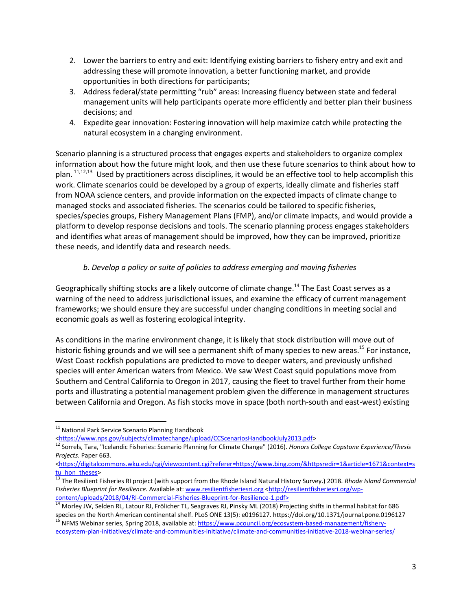- 2. Lower the barriers to entry and exit: Identifying existing barriers to fishery entry and exit and addressing these will promote innovation, a better functioning market, and provide opportunities in both directions for participants;
- 3. Address federal/state permitting "rub" areas: Increasing fluency between state and federal management units will help participants operate more efficiently and better plan their business decisions; and
- 4. Expedite gear innovation: Fostering innovation will help maximize catch while protecting the natural ecosystem in a changing environment.

Scenario planning is a structured process that engages experts and stakeholders to organize complex information about how the future might look, and then use these future scenarios to think about how to plan.  $11,12,13$  Used by practitioners across disciplines, it would be an effective tool to help accomplish this work. Climate scenarios could be developed by a group of experts, ideally climate and fisheries staff from NOAA science centers, and provide information on the expected impacts of climate change to managed stocks and associated fisheries. The scenarios could be tailored to specific fisheries, species/species groups, Fishery Management Plans (FMP), and/or climate impacts, and would provide a platform to develop response decisions and tools. The scenario planning process engages stakeholders and identifies what areas of management should be improved, how they can be improved, prioritize these needs, and identify data and research needs.

# *b. Develop a policy or suite of policies to address emerging and moving fisheries*

Geographically shifting stocks are a likely outcome of climate change.<sup>14</sup> The East Coast serves as a warning of the need to address jurisdictional issues, and examine the efficacy of current management frameworks; we should ensure they are successful under changing conditions in meeting social and economic goals as well as fostering ecological integrity.

As conditions in the marine environment change, it is likely that stock distribution will move out of historic fishing grounds and we will see a permanent shift of many species to new areas.<sup>15</sup> For instance, West Coast rockfish populations are predicted to move to deeper waters, and previously unfished species will enter American waters from Mexico. We saw West Coast squid populations move from Southern and Central California to Oregon in 2017, causing the fleet to travel further from their home ports and illustrating a potential management problem given the difference in management structures between California and Oregon. As fish stocks move in space (both north-south and east-west) existing

 $\overline{a}$ 

<sup>&</sup>lt;sup>11</sup> National Park Service Scenario Planning Handbook

[<sup>&</sup>lt;https://www.nps.gov/subjects/climatechange/upload/CCScenariosHandbookJuly2013.pdf>](https://www.nps.gov/subjects/climatechange/upload/CCScenariosHandbookJuly2013.pdf)

<sup>12</sup> Sorrels, Tara, "Icelandic Fisheries: Scenario Planning for Climate Change" (2016). *Honors College Capstone Experience/Thesis Projects.* Paper 663.

[<sup>&</sup>lt;https://digitalcommons.wku.edu/cgi/viewcontent.cgi?referer=https://www.bing.com/&httpsredir=1&article=1671&context=s](https://digitalcommons.wku.edu/cgi/viewcontent.cgi?referer=https://www.bing.com/&httpsredir=1&article=1671&context=stu_hon_theses) tu hon theses>

<sup>13</sup> The Resilient Fisheries RI project (with support from the Rhode Island Natural History Survey.) 2018. *Rhode Island Commercial Fisheries Blueprint for Resilience.* Available at[: www.resilientfisheriesri.org](http://www.resilientfisheriesri.org/) [<http://resilientfisheriesri.org/wp](http://resilientfisheriesri.org/wp-content/uploads/2018/04/RI-Commercial-Fisheries-Blueprint-for-Resilience-1.pdf)[content/uploads/2018/04/RI-Commercial-Fisheries-Blueprint-for-Resilience-1.pdf>](http://resilientfisheriesri.org/wp-content/uploads/2018/04/RI-Commercial-Fisheries-Blueprint-for-Resilience-1.pdf)

<sup>&</sup>lt;sup>14</sup> Morley JW, Selden RL, Latour RJ, Frölicher TL, Seagraves RJ, Pinsky ML (2018) Projecting shifts in thermal habitat for 686 species on the North American continental shelf. PLoS ONE 13(5): e0196127. https://doi.org/10.1371/journal.pone.0196127 <sup>15</sup> NFMS Webinar series, Spring 2018, available at[: https://www.pcouncil.org/ecosystem-based-management/fishery-](https://www.pcouncil.org/ecosystem-based-management/fishery-ecosystem-plan-initiatives/climate-and-communities-initiative/climate-and-communities-initiative-2018-webinar-series/)

[ecosystem-plan-initiatives/climate-and-communities-initiative/climate-and-communities-initiative-2018-webinar-series/](https://www.pcouncil.org/ecosystem-based-management/fishery-ecosystem-plan-initiatives/climate-and-communities-initiative/climate-and-communities-initiative-2018-webinar-series/)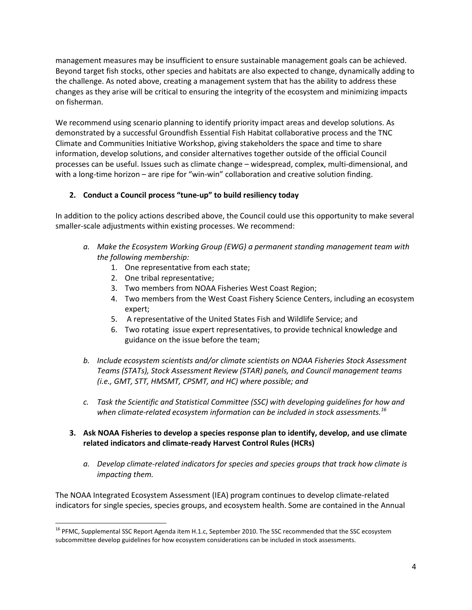management measures may be insufficient to ensure sustainable management goals can be achieved. Beyond target fish stocks, other species and habitats are also expected to change, dynamically adding to the challenge. As noted above, creating a management system that has the ability to address these changes as they arise will be critical to ensuring the integrity of the ecosystem and minimizing impacts on fisherman.

We recommend using scenario planning to identify priority impact areas and develop solutions. As demonstrated by a successful Groundfish Essential Fish Habitat collaborative process and the TNC Climate and Communities Initiative Workshop, giving stakeholders the space and time to share information, develop solutions, and consider alternatives together outside of the official Council processes can be useful. Issues such as climate change – widespread, complex, multi-dimensional, and with a long-time horizon – are ripe for "win-win" collaboration and creative solution finding.

# **2. Conduct a Council process "tune-up" to build resiliency today**

In addition to the policy actions described above, the Council could use this opportunity to make several smaller-scale adjustments within existing processes. We recommend:

- *a. Make the Ecosystem Working Group (EWG) a permanent standing management team with the following membership:*
	- 1. One representative from each state;
	- 2. One tribal representative;

 $\overline{\phantom{a}}$ 

- 3. Two members from NOAA Fisheries West Coast Region;
- 4. Two members from the West Coast Fishery Science Centers, including an ecosystem expert;
- 5. A representative of the United States Fish and Wildlife Service; and
- 6. Two rotating issue expert representatives, to provide technical knowledge and guidance on the issue before the team;
- *b. Include ecosystem scientists and/or climate scientists on NOAA Fisheries Stock Assessment Teams (STATs), Stock Assessment Review (STAR) panels, and Council management teams (i.e., GMT, STT, HMSMT, CPSMT, and HC) where possible; and*
- *c. Task the Scientific and Statistical Committee (SSC) with developing guidelines for how and when climate-related ecosystem information can be included in stock assessments.<sup>16</sup>*
- **3. Ask NOAA Fisheries to develop a species response plan to identify, develop, and use climate related indicators and climate-ready Harvest Control Rules (HCRs)**
	- *a. Develop climate-related indicators for species and species groups that track how climate is impacting them.*

The NOAA Integrated Ecosystem Assessment (IEA) program continues to develop climate-related indicators for single species, species groups, and ecosystem health. Some are contained in the Annual

<sup>&</sup>lt;sup>16</sup> PFMC, Supplemental SSC Report Agenda item H.1.c, September 2010. The SSC recommended that the SSC ecosystem subcommittee develop guidelines for how ecosystem considerations can be included in stock assessments.